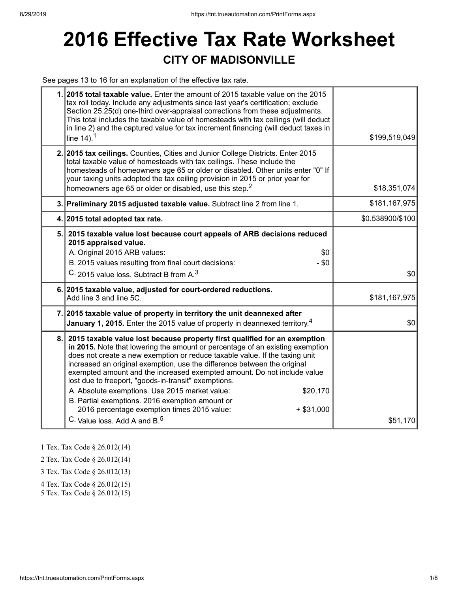## **2016 Effective Tax Rate Worksheet CITY OF MADISONVILLE**

See pages 13 to 16 for an explanation of the effective tax rate.

|     | 1. 2015 total taxable value. Enter the amount of 2015 taxable value on the 2015<br>tax roll today. Include any adjustments since last year's certification; exclude<br>Section 25.25(d) one-third over-appraisal corrections from these adjustments.<br>This total includes the taxable value of homesteads with tax ceilings (will deduct<br>in line 2) and the captured value for tax increment financing (will deduct taxes in<br>line $14$ ). <sup>1</sup>                                                                                                                                                                                                                       | \$199,519,049    |
|-----|--------------------------------------------------------------------------------------------------------------------------------------------------------------------------------------------------------------------------------------------------------------------------------------------------------------------------------------------------------------------------------------------------------------------------------------------------------------------------------------------------------------------------------------------------------------------------------------------------------------------------------------------------------------------------------------|------------------|
|     | 2. 2015 tax ceilings. Counties, Cities and Junior College Districts. Enter 2015<br>total taxable value of homesteads with tax ceilings. These include the<br>homesteads of homeowners age 65 or older or disabled. Other units enter "0" If<br>your taxing units adopted the tax ceiling provision in 2015 or prior year for<br>homeowners age 65 or older or disabled, use this step. <sup>2</sup>                                                                                                                                                                                                                                                                                  | \$18,351,074     |
|     | 3. Preliminary 2015 adjusted taxable value. Subtract line 2 from line 1.                                                                                                                                                                                                                                                                                                                                                                                                                                                                                                                                                                                                             | \$181,167,975    |
|     | 4. 2015 total adopted tax rate.                                                                                                                                                                                                                                                                                                                                                                                                                                                                                                                                                                                                                                                      | \$0.538900/\$100 |
|     | 5. 2015 taxable value lost because court appeals of ARB decisions reduced<br>2015 appraised value.<br>A. Original 2015 ARB values:<br>\$0<br>B. 2015 values resulting from final court decisions:<br>$-$ \$0<br>C. 2015 value loss. Subtract B from A. <sup>3</sup>                                                                                                                                                                                                                                                                                                                                                                                                                  | \$0              |
|     | 6. 2015 taxable value, adjusted for court-ordered reductions.<br>Add line 3 and line 5C.                                                                                                                                                                                                                                                                                                                                                                                                                                                                                                                                                                                             | \$181,167,975    |
|     | 7. 2015 taxable value of property in territory the unit deannexed after<br><b>January 1, 2015.</b> Enter the 2015 value of property in deannexed territory. <sup>4</sup>                                                                                                                                                                                                                                                                                                                                                                                                                                                                                                             | \$0              |
| 8.1 | 2015 taxable value lost because property first qualified for an exemption<br>in 2015. Note that lowering the amount or percentage of an existing exemption<br>does not create a new exemption or reduce taxable value. If the taxing unit<br>increased an original exemption, use the difference between the original<br>exempted amount and the increased exempted amount. Do not include value<br>lost due to freeport, "goods-in-transit" exemptions.<br>A. Absolute exemptions. Use 2015 market value:<br>\$20,170<br>B. Partial exemptions. 2016 exemption amount or<br>2016 percentage exemption times 2015 value:<br>$+$ \$31,000<br>C. Value loss, Add A and B. <sup>5</sup> | \$51,170         |

1 Tex. Tax Code § 26.012(14)

2 Tex. Tax Code § 26.012(14)

3 Tex. Tax Code § 26.012(13)

4 Tex. Tax Code § 26.012(15)

5 Tex. Tax Code § 26.012(15)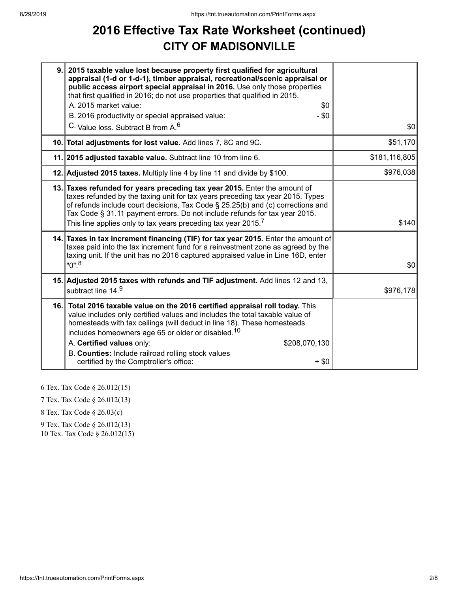## **2016 Effective Tax Rate Worksheet (continued) CITY OF MADISONVILLE**

| 9. | 2015 taxable value lost because property first qualified for agricultural<br>appraisal (1-d or 1-d-1), timber appraisal, recreational/scenic appraisal or<br>public access airport special appraisal in 2016. Use only those properties<br>that first qualified in 2016; do not use properties that qualified in 2015.                                                                                                                                              |               |
|----|---------------------------------------------------------------------------------------------------------------------------------------------------------------------------------------------------------------------------------------------------------------------------------------------------------------------------------------------------------------------------------------------------------------------------------------------------------------------|---------------|
|    | A. 2015 market value:<br>\$0                                                                                                                                                                                                                                                                                                                                                                                                                                        |               |
|    | $-$ \$0<br>B. 2016 productivity or special appraised value:                                                                                                                                                                                                                                                                                                                                                                                                         |               |
|    | C. Value loss. Subtract B from A. <sup>6</sup>                                                                                                                                                                                                                                                                                                                                                                                                                      | \$0           |
|    | 10. Total adjustments for lost value. Add lines 7, 8C and 9C.                                                                                                                                                                                                                                                                                                                                                                                                       | \$51,170      |
|    | 11. 2015 adjusted taxable value. Subtract line 10 from line 6.                                                                                                                                                                                                                                                                                                                                                                                                      | \$181,116,805 |
|    | 12. Adjusted 2015 taxes. Multiply line 4 by line 11 and divide by \$100.                                                                                                                                                                                                                                                                                                                                                                                            | \$976,038     |
|    | 13. Taxes refunded for years preceding tax year 2015. Enter the amount of<br>taxes refunded by the taxing unit for tax years preceding tax year 2015. Types<br>of refunds include court decisions, Tax Code § 25.25(b) and (c) corrections and<br>Tax Code § 31.11 payment errors. Do not include refunds for tax year 2015.<br>This line applies only to tax years preceding tax year 2015. $^7\,$                                                                 | \$140         |
|    | 14. Taxes in tax increment financing (TIF) for tax year 2015. Enter the amount of<br>taxes paid into the tax increment fund for a reinvestment zone as agreed by the<br>taxing unit. If the unit has no 2016 captured appraised value in Line 16D, enter<br>"0". <sup>8</sup>                                                                                                                                                                                       | \$0           |
|    | 15. Adjusted 2015 taxes with refunds and TIF adjustment. Add lines 12 and 13,<br>subtract line 14.9                                                                                                                                                                                                                                                                                                                                                                 | \$976,178     |
|    | 16. Total 2016 taxable value on the 2016 certified appraisal roll today. This<br>value includes only certified values and includes the total taxable value of<br>homesteads with tax ceilings (will deduct in line 18). These homesteads<br>includes homeowners age 65 or older or disabled. <sup>10</sup><br>A. Certified values only:<br>\$208,070,130<br>B. Counties: Include railroad rolling stock values<br>certified by the Comptroller's office:<br>$+$ \$0 |               |

6 Tex. Tax Code § 26.012(15)

7 Tex. Tax Code § 26.012(13)

8 Tex. Tax Code § 26.03(c)

9 Tex. Tax Code § 26.012(13)

10 Tex. Tax Code § 26.012(15)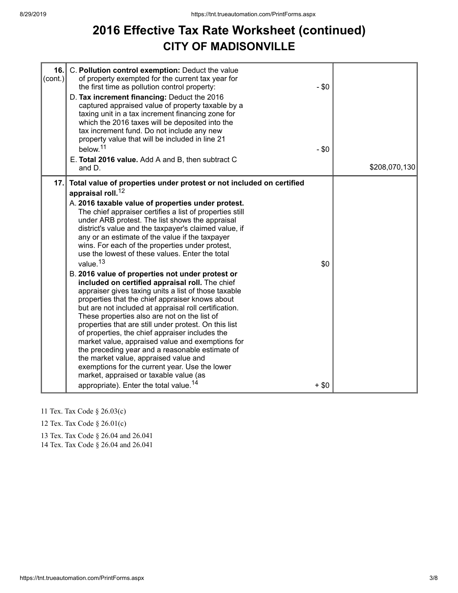## **2016 Effective Tax Rate Worksheet (continued) CITY OF MADISONVILLE**

| 16.<br>(cont.) | C. Pollution control exemption: Deduct the value<br>of property exempted for the current tax year for<br>the first time as pollution control property:<br>D. Tax increment financing: Deduct the 2016<br>captured appraised value of property taxable by a<br>taxing unit in a tax increment financing zone for<br>which the 2016 taxes will be deposited into the<br>tax increment fund. Do not include any new<br>property value that will be included in line 21<br>below. <sup>11</sup><br>E. Total 2016 value. Add A and B, then subtract C<br>and D.                                                                                                                                                                                                                                                                                                                                                                                                                                                                                                                                                                                                                                                                                                    | $-$ \$0<br>$-$ \$0 | \$208,070,130 |
|----------------|---------------------------------------------------------------------------------------------------------------------------------------------------------------------------------------------------------------------------------------------------------------------------------------------------------------------------------------------------------------------------------------------------------------------------------------------------------------------------------------------------------------------------------------------------------------------------------------------------------------------------------------------------------------------------------------------------------------------------------------------------------------------------------------------------------------------------------------------------------------------------------------------------------------------------------------------------------------------------------------------------------------------------------------------------------------------------------------------------------------------------------------------------------------------------------------------------------------------------------------------------------------|--------------------|---------------|
| 17.            | Total value of properties under protest or not included on certified<br>appraisal roll. <sup>12</sup><br>A. 2016 taxable value of properties under protest.<br>The chief appraiser certifies a list of properties still<br>under ARB protest. The list shows the appraisal<br>district's value and the taxpayer's claimed value, if<br>any or an estimate of the value if the taxpayer<br>wins. For each of the properties under protest,<br>use the lowest of these values. Enter the total<br>value. <sup>13</sup><br>B. 2016 value of properties not under protest or<br>included on certified appraisal roll. The chief<br>appraiser gives taxing units a list of those taxable<br>properties that the chief appraiser knows about<br>but are not included at appraisal roll certification.<br>These properties also are not on the list of<br>properties that are still under protest. On this list<br>of properties, the chief appraiser includes the<br>market value, appraised value and exemptions for<br>the preceding year and a reasonable estimate of<br>the market value, appraised value and<br>exemptions for the current year. Use the lower<br>market, appraised or taxable value (as<br>appropriate). Enter the total value. <sup>14</sup> | \$0<br>$+$ \$0     |               |

- 11 Tex. Tax Code § 26.03(c)
- 12 Tex. Tax Code § 26.01(c)
- 13 Tex. Tax Code § 26.04 and 26.041

14 Tex. Tax Code § 26.04 and 26.041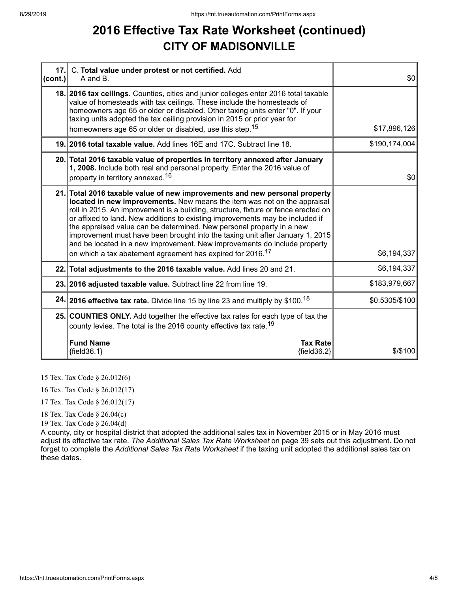## **2016 Effective Tax Rate Worksheet (continued) CITY OF MADISONVILLE**

| $ cont. \rangle$ | 17. C. Total value under protest or not certified. Add<br>A and B.                                                                                                                                                                                                                                                                                                                                                                                                                                                                                                                                                                             | \$0            |
|------------------|------------------------------------------------------------------------------------------------------------------------------------------------------------------------------------------------------------------------------------------------------------------------------------------------------------------------------------------------------------------------------------------------------------------------------------------------------------------------------------------------------------------------------------------------------------------------------------------------------------------------------------------------|----------------|
|                  | 18. 2016 tax ceilings. Counties, cities and junior colleges enter 2016 total taxable<br>value of homesteads with tax ceilings. These include the homesteads of<br>homeowners age 65 or older or disabled. Other taxing units enter "0". If your<br>taxing units adopted the tax ceiling provision in 2015 or prior year for<br>homeowners age 65 or older or disabled, use this step. <sup>15</sup>                                                                                                                                                                                                                                            | \$17,896,126   |
|                  | 19. 2016 total taxable value. Add lines 16E and 17C. Subtract line 18.                                                                                                                                                                                                                                                                                                                                                                                                                                                                                                                                                                         | \$190,174,004  |
|                  | 20. Total 2016 taxable value of properties in territory annexed after January<br>1, 2008. Include both real and personal property. Enter the 2016 value of<br>property in territory annexed. <sup>16</sup>                                                                                                                                                                                                                                                                                                                                                                                                                                     | \$0            |
|                  | 21. Total 2016 taxable value of new improvements and new personal property<br>located in new improvements. New means the item was not on the appraisal<br>roll in 2015. An improvement is a building, structure, fixture or fence erected on<br>or affixed to land. New additions to existing improvements may be included if<br>the appraised value can be determined. New personal property in a new<br>improvement must have been brought into the taxing unit after January 1, 2015<br>and be located in a new improvement. New improvements do include property<br>on which a tax abatement agreement has expired for 2016. <sup>17</sup> | \$6,194,337    |
|                  | 22. Total adjustments to the 2016 taxable value. Add lines 20 and 21.                                                                                                                                                                                                                                                                                                                                                                                                                                                                                                                                                                          | \$6,194,337    |
|                  | 23. 2016 adjusted taxable value. Subtract line 22 from line 19.                                                                                                                                                                                                                                                                                                                                                                                                                                                                                                                                                                                | \$183,979,667  |
|                  | 24. 2016 effective tax rate. Divide line 15 by line 23 and multiply by \$100. <sup>18</sup>                                                                                                                                                                                                                                                                                                                                                                                                                                                                                                                                                    | \$0.5305/\$100 |
|                  | 25. COUNTIES ONLY. Add together the effective tax rates for each type of tax the<br>county levies. The total is the 2016 county effective tax rate. <sup>19</sup>                                                                                                                                                                                                                                                                                                                                                                                                                                                                              |                |
|                  | <b>Fund Name</b><br><b>Tax Rate</b><br>${fields.1}$<br>${field36.2}$                                                                                                                                                                                                                                                                                                                                                                                                                                                                                                                                                                           | \$/\$100       |

15 Tex. Tax Code § 26.012(6)

16 Tex. Tax Code § 26.012(17)

17 Tex. Tax Code § 26.012(17)

18 Tex. Tax Code § 26.04(c)

19 Tex. Tax Code § 26.04(d)

A county, city or hospital district that adopted the additional sales tax in November 2015 or in May 2016 must adjust its effective tax rate. *The Additional Sales Tax Rate Worksheet* on page 39 sets out this adjustment. Do not forget to complete the *Additional Sales Tax Rate Worksheet* if the taxing unit adopted the additional sales tax on these dates.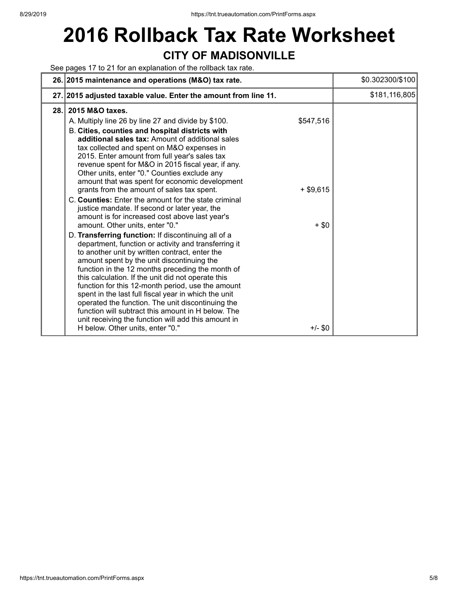# **2016 Rollback Tax Rate Worksheet CITY OF MADISONVILLE**

See pages 17 to 21 for an explanation of the rollback tax rate.

|      | 26. 2015 maintenance and operations (M&O) tax rate.                                                                                                                                                                                                                                                                                                                                                                                                                                                                                                                                                                                                                                                                                                                                                                                                                                                                                                                                                                                                                                                                                                                                                                                                                                                                                                                             | \$0.302300/\$100 |
|------|---------------------------------------------------------------------------------------------------------------------------------------------------------------------------------------------------------------------------------------------------------------------------------------------------------------------------------------------------------------------------------------------------------------------------------------------------------------------------------------------------------------------------------------------------------------------------------------------------------------------------------------------------------------------------------------------------------------------------------------------------------------------------------------------------------------------------------------------------------------------------------------------------------------------------------------------------------------------------------------------------------------------------------------------------------------------------------------------------------------------------------------------------------------------------------------------------------------------------------------------------------------------------------------------------------------------------------------------------------------------------------|------------------|
|      | 27. 2015 adjusted taxable value. Enter the amount from line 11.                                                                                                                                                                                                                                                                                                                                                                                                                                                                                                                                                                                                                                                                                                                                                                                                                                                                                                                                                                                                                                                                                                                                                                                                                                                                                                                 | \$181,116,805    |
| 28.1 | 2015 M&O taxes.<br>\$547,516<br>A. Multiply line 26 by line 27 and divide by \$100.<br>B. Cities, counties and hospital districts with<br>additional sales tax: Amount of additional sales<br>tax collected and spent on M&O expenses in<br>2015. Enter amount from full year's sales tax<br>revenue spent for M&O in 2015 fiscal year, if any.<br>Other units, enter "0." Counties exclude any<br>amount that was spent for economic development<br>grants from the amount of sales tax spent.<br>$+$ \$9,615<br>C. Counties: Enter the amount for the state criminal<br>justice mandate. If second or later year, the<br>amount is for increased cost above last year's<br>$+ $0$<br>amount. Other units, enter "0."<br>D. Transferring function: If discontinuing all of a<br>department, function or activity and transferring it<br>to another unit by written contract, enter the<br>amount spent by the unit discontinuing the<br>function in the 12 months preceding the month of<br>this calculation. If the unit did not operate this<br>function for this 12-month period, use the amount<br>spent in the last full fiscal year in which the unit<br>operated the function. The unit discontinuing the<br>function will subtract this amount in H below. The<br>unit receiving the function will add this amount in<br>$+/-$ \$0<br>H below. Other units, enter "0." |                  |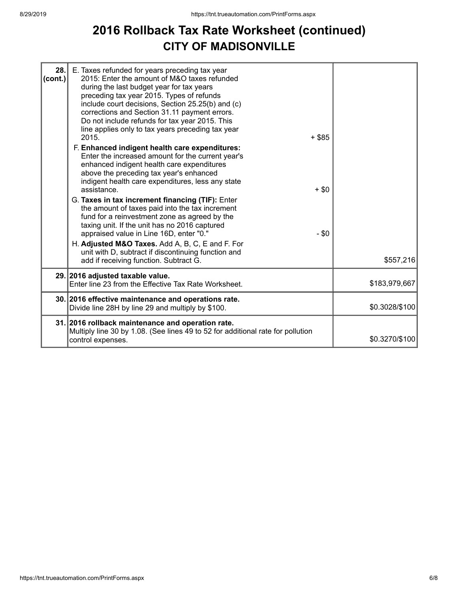## **2016 Rollback Tax Rate Worksheet (continued) CITY OF MADISONVILLE**

| 28.<br>(cont.) | E. Taxes refunded for years preceding tax year<br>2015: Enter the amount of M&O taxes refunded<br>during the last budget year for tax years<br>preceding tax year 2015. Types of refunds<br>include court decisions, Section 25.25(b) and (c)<br>corrections and Section 31.11 payment errors.<br>Do not include refunds for tax year 2015. This<br>line applies only to tax years preceding tax year<br>2015.<br>F. Enhanced indigent health care expenditures:<br>Enter the increased amount for the current year's                                              | $+$ \$85           |                |
|----------------|--------------------------------------------------------------------------------------------------------------------------------------------------------------------------------------------------------------------------------------------------------------------------------------------------------------------------------------------------------------------------------------------------------------------------------------------------------------------------------------------------------------------------------------------------------------------|--------------------|----------------|
|                | enhanced indigent health care expenditures<br>above the preceding tax year's enhanced<br>indigent health care expenditures, less any state<br>assistance.<br>G. Taxes in tax increment financing (TIF): Enter<br>the amount of taxes paid into the tax increment<br>fund for a reinvestment zone as agreed by the<br>taxing unit. If the unit has no 2016 captured<br>appraised value in Line 16D, enter "0."<br>H. Adjusted M&O Taxes. Add A, B, C, E and F. For<br>unit with D, subtract if discontinuing function and<br>add if receiving function. Subtract G. | $+$ \$0<br>$-$ \$0 | \$557,216      |
|                | 29. 2016 adjusted taxable value.<br>Enter line 23 from the Effective Tax Rate Worksheet.                                                                                                                                                                                                                                                                                                                                                                                                                                                                           |                    | \$183,979,667  |
|                | 30. 2016 effective maintenance and operations rate.<br>Divide line 28H by line 29 and multiply by \$100.                                                                                                                                                                                                                                                                                                                                                                                                                                                           |                    | \$0.3028/\$100 |
|                | 31. 2016 rollback maintenance and operation rate.<br>Multiply line 30 by 1.08. (See lines 49 to 52 for additional rate for pollution<br>control expenses.                                                                                                                                                                                                                                                                                                                                                                                                          |                    | \$0.3270/\$100 |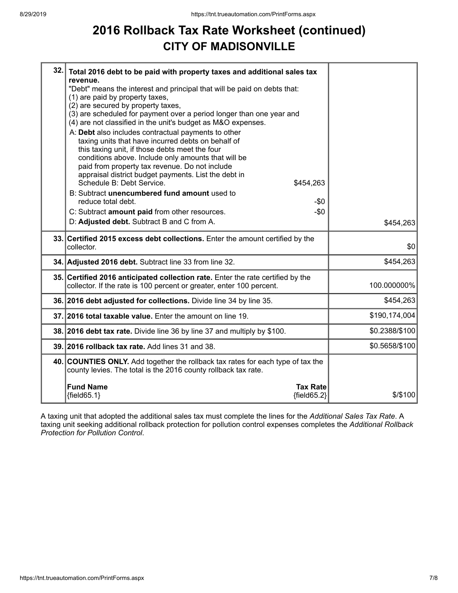## **2016 Rollback Tax Rate Worksheet (continued) CITY OF MADISONVILLE**

| 32. | Total 2016 debt to be paid with property taxes and additional sales tax<br>revenue.<br>"Debt" means the interest and principal that will be paid on debts that:<br>(1) are paid by property taxes,<br>(2) are secured by property taxes,<br>(3) are scheduled for payment over a period longer than one year and<br>(4) are not classified in the unit's budget as M&O expenses.<br>A: Debt also includes contractual payments to other<br>taxing units that have incurred debts on behalf of<br>this taxing unit, if those debts meet the four<br>conditions above. Include only amounts that will be<br>paid from property tax revenue. Do not include<br>appraisal district budget payments. List the debt in<br>Schedule B: Debt Service.<br>\$454,263<br>B: Subtract unencumbered fund amount used to<br>reduce total debt. |                |
|-----|----------------------------------------------------------------------------------------------------------------------------------------------------------------------------------------------------------------------------------------------------------------------------------------------------------------------------------------------------------------------------------------------------------------------------------------------------------------------------------------------------------------------------------------------------------------------------------------------------------------------------------------------------------------------------------------------------------------------------------------------------------------------------------------------------------------------------------|----------------|
|     | -\$0<br>$-$0$<br>C: Subtract amount paid from other resources.                                                                                                                                                                                                                                                                                                                                                                                                                                                                                                                                                                                                                                                                                                                                                                   |                |
|     | D: Adjusted debt. Subtract B and C from A.                                                                                                                                                                                                                                                                                                                                                                                                                                                                                                                                                                                                                                                                                                                                                                                       | \$454,263      |
|     | 33. Certified 2015 excess debt collections. Enter the amount certified by the<br>collector.                                                                                                                                                                                                                                                                                                                                                                                                                                                                                                                                                                                                                                                                                                                                      | \$0            |
|     | 34. Adjusted 2016 debt. Subtract line 33 from line 32.                                                                                                                                                                                                                                                                                                                                                                                                                                                                                                                                                                                                                                                                                                                                                                           | \$454,263      |
|     | 35. Certified 2016 anticipated collection rate. Enter the rate certified by the<br>collector. If the rate is 100 percent or greater, enter 100 percent.                                                                                                                                                                                                                                                                                                                                                                                                                                                                                                                                                                                                                                                                          | 100.000000%    |
|     | 36. 2016 debt adjusted for collections. Divide line 34 by line 35.                                                                                                                                                                                                                                                                                                                                                                                                                                                                                                                                                                                                                                                                                                                                                               | \$454,263      |
|     | 37. 2016 total taxable value. Enter the amount on line 19.                                                                                                                                                                                                                                                                                                                                                                                                                                                                                                                                                                                                                                                                                                                                                                       | \$190,174,004  |
|     | 38. 2016 debt tax rate. Divide line 36 by line 37 and multiply by \$100.                                                                                                                                                                                                                                                                                                                                                                                                                                                                                                                                                                                                                                                                                                                                                         | \$0.2388/\$100 |
|     | 39. 2016 rollback tax rate. Add lines 31 and 38.                                                                                                                                                                                                                                                                                                                                                                                                                                                                                                                                                                                                                                                                                                                                                                                 | \$0.5658/\$100 |
|     | 40. COUNTIES ONLY. Add together the rollback tax rates for each type of tax the<br>county levies. The total is the 2016 county rollback tax rate.                                                                                                                                                                                                                                                                                                                                                                                                                                                                                                                                                                                                                                                                                |                |
|     | <b>Fund Name</b><br><b>Tax Rate</b><br>${fields5.1}$<br>${fields2}$                                                                                                                                                                                                                                                                                                                                                                                                                                                                                                                                                                                                                                                                                                                                                              | $$$ /\$100     |

A taxing unit that adopted the additional sales tax must complete the lines for the *Additional Sales Tax Rate*. A taxing unit seeking additional rollback protection for pollution control expenses completes the *Additional Rollback Protection for Pollution Control*.